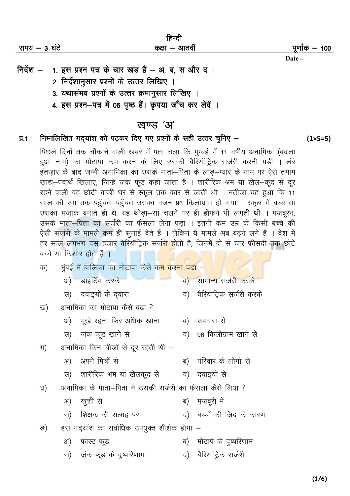| समय – 3 घंटे | וציעו<br>कक्षा – आठवीं | पूर्णांक <i>—</i> 100 |
|--------------|------------------------|-----------------------|
|              |                        | Date –                |

 $A = 0$ 

- निर्देश 1. इस प्रश्न पत्र के चार खंड हैं अ, ब, स और द।
	- 2. निर्देशानुसार प्रश्नों के उत्तर लिखिए ।
	- 3. यथासंभव प्रश्नों के उत्तर क्रमानूसार लिखिए ।
	- 4. इस प्रश्न-पत्र में 06 पृष्ठ हैं। कृपया जाँच कर लेवें ।

# खण्ड 'अ'

## निम्नलिखित गदयांश को पढ़कर दिए गए प्रश्नों के सही उत्तर चुनिए –  $\Psi$ .1

पिछले दिनों तक चौंकाने वाली ख़बर में पता चला कि मुम्बई में 11 वर्षीय अनामिका (बदला हुआ नाम) का मोटापा कम करने के लिए उसकी बैरियॉट्रिक सर्जरी करनी पड़ी । लंबे इंतजार के बाद जन्मी अनामिका को उसके माता–पिता के लाड–प्यार के नाम पर ऐसे तमाम खाद्य-पदार्थ खिलाए, जिन्हें जंक फूड कहा जाता है । शारीरिक श्रम या खेल-कूद से दूर रहने वाली वह छोटी बच्ची घर से स्कूल तक कार से जाती थी । नतीजा यह हुआ कि 11 साल की उम्र तक पहुँचते–पहुँचते उसका वजन 96 किलोग्राम हो गया । स्कूल में बच्चे तो उसका मज़ाक बनाते ही थे, वह थोड़ा-सा चलने पर ही हाँफने भी लगती थी । मजबूरन, उसके माता-पिता को सर्जरी का फैसला लेना पड़ा । इतनी कम उम्र के किसी बच्चे की ऐसी सर्जरी के मामले कम ही सुनाई देते हैं । लेकिन ये मामले अब बढने लगे हैं । देश में हर साल लगभग दस हजार बेरियॉटिक सर्जरी होती है, जिनमें दो से चार फीसदी तक छोटे बच्चे या किशोर होते हैं ।

| क) | मुंबई में बालिका का मोटापा कैसे क <mark>म करना पड़ा</mark> – |                                            |    |                            |  |
|----|--------------------------------------------------------------|--------------------------------------------|----|----------------------------|--|
|    |                                                              | अ) डाइटिंग करके                            |    | ब) सामान्य सर्जरी करके     |  |
|    |                                                              | स) दवाइयों के दवारा                        |    | द) बैरियाट्रिक सर्जरी करके |  |
| ख) |                                                              | अनामिका का मोटापा कैसे बढा ?               |    |                            |  |
|    |                                                              | अ) भूखे रहना फिर अधिक खाना                 |    | ब) उपवास से                |  |
|    |                                                              | स) जंक फूड खाने से                         |    | द) 96 किलोग्राम खाने से    |  |
| ग) | अनामिका किन चीज़ों से दूर रहती थी –                          |                                            |    |                            |  |
|    |                                                              | अ) अपने मित्रों से                         |    | ब) परिवार के लोगों से      |  |
|    |                                                              | स) शारीरिक श्रम या खेलकूद से व) दवाइयों से |    |                            |  |
| घ) | अनामिका के माता–पिता ने उसकी सर्जरी का फ़ैसला कैसे लिया ?    |                                            |    |                            |  |
|    |                                                              | अ) खुशी से                                 |    | ब) मज़बूरी में             |  |
|    | स)                                                           | शिक्षक की सलाह पर                          |    | द) बच्चों की जिद के कारण   |  |
| ङ) | इस गद्यांश का सर्वाधिक उपयुक्त शीर्शक होगा –                 |                                            |    |                            |  |
|    | अ)                                                           | फास्ट फूड                                  |    | ब) मोटापे के दुष्परिणाम    |  |
|    |                                                              | स) जंक फूड के दुष्परिणाम                   | द) | बैरियाट्रिक सर्जरी         |  |
|    |                                                              |                                            |    |                            |  |

 $(1 \times 5 = 5)$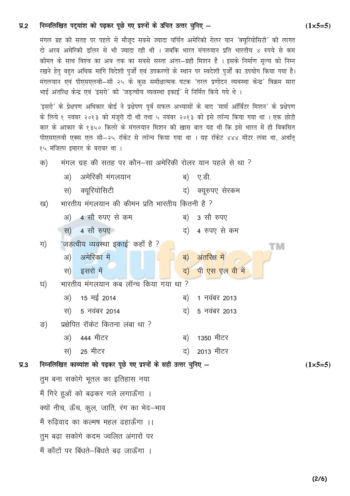#### निम्नलिखित पदुयांश को पढ़कर पूछे गए प्रश्नों के उचित उत्तर चुनिए - $\Psi$ .2

मंगल ग्रह की सतह पर पहले से मौजूद सबसे ज्यादा चर्चित अमेरिकी रोलर यान 'क्यूरियोसिटी' की लागत दो अरब अमेरिकी डॉलर से भी ज्यादा रही थी । जबकि भारत मंगलयान प्रति भारतीय ४ रुपये से कम कीमत के साथ विश्व का अब तक का सबसे सस्ता अंतर—ग्रही मिशन है । इसके निर्माण मूल्य को निम्न रखने हेतु बहुत अधिक महँगे विदेशी पुर्जों एवं उपकरणों के स्थान पर स्वदेशी पुर्जों का उपयोग किया गया है। मंगलयान एवं पीएसएलवी—सी २५ के कुछ समीक्षात्मक घटक 'तरल प्रणोदन व्यवस्था केन्द्र' विक्रम सारा भाई अंतरिक्ष केन्द्र एवं 'इसरो' की 'जड़त्वीय व्यवस्था इकाई' में निर्मित किये गये थे ।

'इसरो' के प्रेक्षपण अधिकार बोर्ड ने प्रक्षेपण पूर्व सफल अभ्यासों के बाद 'मार्स ऑर्बिटर मिशन' के प्रक्षेपण के लिये १ नवंबर २०१३ को मंजूरी दी थी तथा ५ नवंबर २०१३ को इसे लॉन्च किया गया था । एक छोटी कार के आकार के १३५० किलो के मंगलयान मिशन की खास बात यह थी कि इसे भारत में ही विकसित पीएसएलवी एक्स एल सी—२५ रॉकेट से लॉन्च किया गया था । यह रॉकेट ४४४ मीटर लंबा था, अर्थात् १५ मंजिला इमारत के बराबर था ।

- मंगल ग्रह की सतह पर कौन-सा अमेरिकी रोलर यान पहले से था ? क)
	- अमेरिकी मंगलयान  $3I)$ ब) ए.डी.
		- स) क्युरियोसिटी द) क्युरुपए सेरकम
- भारतीय मंगलयान की कीमन प्रति भारतीय कितनी है ? ख)
	- अ) 4 सौ रुपए से कम ब) 3 सौ रुपए स) 4 सौ रुपए द) 4 रुपए से कम
- 'जड़त्वीय व्यवस्था इकाई' कहाँ है ? ग)
	- अ) अमेरिका में ब) अंतरिक्ष में स) इसरो में द) पी एस एल वी में
- भारतीय मंगलयान कब लॉन्च किया गया था ? घ)
- अ) 15 मई 2014 ब) 1 नवंबर 2013 5 नवंबर 2014 5 नवंबर 2013 रन) द) प्रक्षेपित रॉकेट कितना लंबा था ? ङ) 444 मीटर  $3I)$ ब) 1350 मीटर
	- 25 मीटर 2013 मीटर स) द)
- निम्नलिखित काव्यांश को पढ़कर पूछे गए प्रश्नों के सही उत्तर चुनिए - $\Psi$ <sub>3</sub> तुम बना सकोगे भुतल का इतिहास नया

मैं गिरे हुओं को बढ़कर गले लगाऊँगा । क्यों नीच, ऊँच, कुल, जाति, रंग का भेद–भाव मैं रुढिवाद का कल्मष महल ढहाऊँगा ।। तुम बढा सकोगे कदम ज्वलित अंगारों पर मैं काँटों पर बिंधते–बिंधते बढ जाऊँगा ।

тм

 $(1 \times 5 = 5)$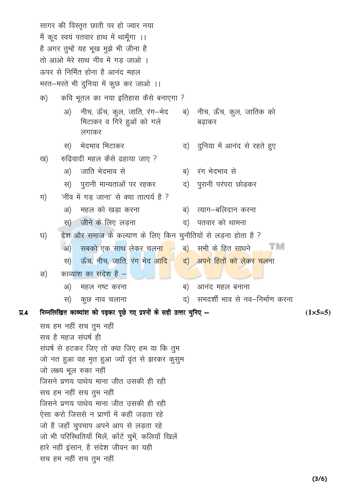सागर की विस्तृत छाती पर हो ज्वार नया मैं कूद स्वयं पतवार हाथ में थामूँगा ।। है अगर तुम्हें यह भूख मुझे भी जीना है तो आओ मेरे साथ नींव में गड जाओ । ऊपर से निर्मित होना है आनंद महल मरत-मरते भी दुनिया में कुछ कर जाओ ।। कवि भूतल का नया इतिहास कैसे बनाएगा ? क) नीच, ऊँच, कुल, जाति, रंग—भेद नीच, ऊँच, कुल, जातिक को ब) 31) मिटाकर व गिरे हुओं को गले बढाकर लगाकर स) भेदभाव मिटाकर दुनिया में आनंद से रहते हुए द) रुढिवादी महल कैसे ढहाया जाए ? ख) अ) जाति भेदभाव से रंग भेदभाव से ब) स) पुरानी मान्यताओं पर रहकर द) पुरानी परंपरा छोडकर 'नींव में गड जाना' से क्या तात्पर्य है ? ग) महल को खड़ा करना  $3I)$ त्याग–बलिदान करना ब) जीने के लिए लडना  $(F<sub>F</sub>)$ द) पतवार को थामना देश और समाज के कल्याण के लिए किन चुनौतियों से लडना होता है ? घ)  $3I)$ सबको एक साथ लेकर चलन<mark>ा</mark> ब) सभी के हित साधने тм ऊँच, नीच, जाति, रंग भेद आ<mark>द</mark>ि <mark>अपने हितों को लेकर चल</mark>ना रन) द) काव्यांश का संदेश है – ङ) आनंद महल बनाना अ) महल नष्ट करना ब) समदर्शी भाव से नव—निर्माण करना कूछ नाव चलाना द) रन) निम्नलिखित काव्यांश को पढ़कर पूछे गए प्रश्नों के सही उत्तर चुनिए - $\Psi$ .4  $(1 \times 5 = 5)$ सच हम नहीं सच तुम नहीं सच है महज संघर्ष ही संघर्ष से हटकर जिए तो क्या जिए हम या कि तुम जो नत हुआ वह मृत हुआ ज्यों वृंत से झरकर कुसुम जो लक्ष्य भूल रुका नहीं जिसने प्रणय पाथेय माना जीत उसकी ही रही सच हम नहीं सच तुम नहीं जिसने प्रणय पाथेय माना जीत उसकी ही रही ऐसा करो जिससे न प्राणों में कहीं जडता रहे जो है जहाँ चुपचाप अपने आप से लड़ता रहे जो भी परिस्थितियाँ मिलें, काँटें चुभें, कलियाँ खिलें हारे नहीं इंसान, है संदेश जीवन का यही सच हम नहीं सच तुम नहीं

 $(3/6)$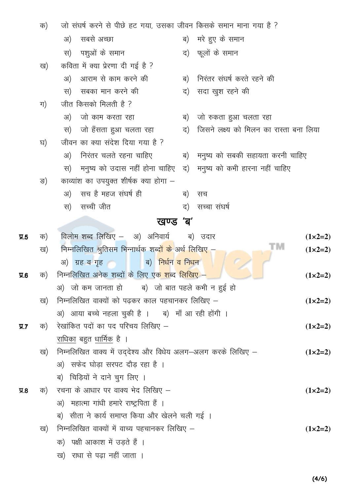|           | क) | जो संघर्ष करने से पीछे हट गया, उसका जीवन किसके समान माना गया है ?            |                    |  |  |  |  |
|-----------|----|------------------------------------------------------------------------------|--------------------|--|--|--|--|
|           |    | सबसे अच्छा<br>ब) मरे हुए के समान<br>अ)                                       |                    |  |  |  |  |
|           |    | पशुओं के समान<br>द) फूलों के समान<br>स)                                      |                    |  |  |  |  |
|           | ख) | कविता में क्या प्रेरणा दी गई है ?                                            |                    |  |  |  |  |
|           |    | आराम से काम करने की<br>निरंतर संघर्ष करते रहने की<br>अ)<br>ब)                |                    |  |  |  |  |
|           |    | सबका मान करने की<br>सदा खुश रहने की<br>रन)<br>द)                             |                    |  |  |  |  |
|           | ग) | जीत किसको मिलती है ?                                                         |                    |  |  |  |  |
|           |    | जो काम करता रहा<br>जो रुकता हुआ चलता रहा<br>अ)<br>ब)                         |                    |  |  |  |  |
|           |    | जिसने लक्ष्य को मिलन का रास्ता बना लिया<br>जो हँसता हुआ चलता रहा<br>द)<br>स) |                    |  |  |  |  |
|           | घ) | जीवन का क्या संदेश दिया गया है ?                                             |                    |  |  |  |  |
|           |    | निरंतर चलते रहना चाहिए<br>ब) मनुष्य को सबकी सहायता करनी चाहिए<br>अ)          |                    |  |  |  |  |
|           |    | मनुष्य को उदास नहीं होना चाहिए) द) मनुष्य को कभी हारना नहीं चाहिए<br>रन)     |                    |  |  |  |  |
|           | ङ) | काव्यांश का उपयुक्त शीर्षक क्या होगा –                                       |                    |  |  |  |  |
|           |    | सच है महज संघर्ष ही<br>अ)<br>ब)<br>सच                                        |                    |  |  |  |  |
|           |    | सच्ची जीत<br>सच्चा संघर्ष<br>स)<br>द)                                        |                    |  |  |  |  |
|           |    | खण्ड 'ब'                                                                     |                    |  |  |  |  |
| $\Pi.5$   | क) | विलोम शब्द लिखिए – अ) अनिवार्य ब) उदार                                       | $(1 \times 2=2)$   |  |  |  |  |
|           | ख) | TΜ<br>निम्नलिखित श्रुतिसम भिन्नार्थक शब् <mark>दों के</mark> अर्थ लिखिए –    | $(1 \times 2=2)$   |  |  |  |  |
|           |    | ब) <mark>निर्धन व निधन</mark><br>अ) ग्रह व गृह                               |                    |  |  |  |  |
| $\Psi$ .6 | क) | निम्नलिखित अनेक शब्दों के लिए एक शब्द लिखिए –                                | $(1 \times 2 = 2)$ |  |  |  |  |
|           |    | जो कम जानता हो      ब)  जो बात पहले कभी न हुई हो<br>अ)                       |                    |  |  |  |  |
|           | ख) | निम्नलिखित वाक्यों को पढ़कर काल पहचानकर लिखिए –                              | $(1 \times 2=2)$   |  |  |  |  |
|           |    | अ) आया बच्चे नहला चुकी है ।    ब)  माँ आ रही होंगी ।                         |                    |  |  |  |  |
| $\Pi.7$   | क) | रेखांकित पदों का पद परिचय लिखिए –                                            | $(1 \times 2 = 2)$ |  |  |  |  |
|           |    | राधिका बहुत धार्मिक है ।                                                     |                    |  |  |  |  |
|           | ख) | निम्नलिखित वाक्य में उद्देश्य और विधेय अलग—अलग करके लिखिए —                  | $(1 \times 2=2)$   |  |  |  |  |
|           |    | अ) सफेद घोड़ा सरपट दौड़ रहा है ।                                             |                    |  |  |  |  |
|           |    | ब) चिड़ियों ने दाने चुग लिए ।                                                |                    |  |  |  |  |
| $\Psi$ .8 |    | क) रचना के आधार पर वाक्य भेद लिखिए –                                         | $(1 \times 2 = 2)$ |  |  |  |  |
|           |    | अ) महात्मा गांधी हमारे राष्ट्रपिता हैं ।                                     |                    |  |  |  |  |
|           |    | ब) सीता ने कार्य समाप्त किया और खेलने चली गई ।                               |                    |  |  |  |  |
|           | ख) | निम्नलिखित वाक्यों में वाच्य पहचानकर लिखिए –                                 | $(1 \times 2 = 2)$ |  |  |  |  |
|           |    | क) पक्षी आकाश में उड़ते हैं ।                                                |                    |  |  |  |  |
|           |    | ख) राधा से पढ़ा नहीं जाता ।                                                  |                    |  |  |  |  |

 $(4/6)$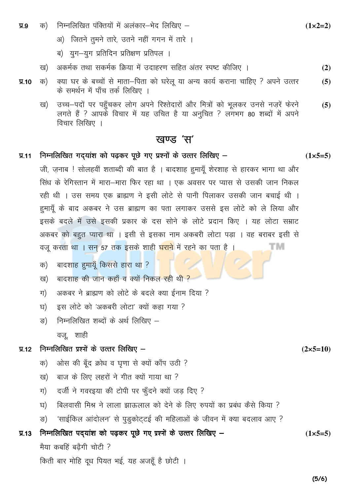- निम्नलिखित पंक्तियों में अलंकार–भेद लिखिए  $\Psi$ .9 क)
	- अ) जितने तुमने तारे, उतने नहीं गगन में तारे ।
	- ब) युग-युग प्रतिदिन प्रतिक्षण प्रतिपल ।
	- अकर्मक तथा सकर्मक क्रिया में उदाहरण सहित अंतर स्पष्ट कीजिए । ख)  $(2)$
- क्या घर के बच्चों से माता-पिता को घरेलू या अन्य कार्य कराना चाहिए ? अपने उत्तर क)  $\Pi$ .10  $(5)$ के समर्थन में पाँच तर्क लिखिए ।
	- उच्च–पदों पर पहुँचकर लोग अपने रिश्तेदारों और मित्रों को भुलकर उनसे नजरें फेरने ख)  $(5)$ लगते हैं ? आपकें विचार में यह उचित है या अनुचित ? लगभग 80 शब्दों में अपने विचार लिखिए ।

# खण्ड 'स'

# निम्नलिखित गद्यांश को पढ़कर पूछे गए प्रश्नों के उत्तर लिखिए –  $\Pi$ .11

जी, जनाब ! सोलहवीं शताब्दी की बात है । बादशाह हमायूँ शेरशाह से हारकर भागा था और सिंध के रेगिस्तान में मारा—मारा फिर रहा था । एक अवसर पर प्यास से उसकी जान निकल रही थी । उस समय एक ब्राह्मण ने इसी लोटे से पानी पिलाकर उसकी जान बचाई थी । हुमायूँ के बाद अकबर ने उस ब्राह्मण का पता लगाकर उससे इस लोटे को ले लिया और इसके बदले में उसे इसकी प्रकार के दस सोने के लोटे प्रदान किए । यह लोटा सम्राट अकबर को बहुत प्यारा था । इसी से इसका नाम अकबरी लोटा पड़ा । वह बराबर इसी से TM वजू करता था । सन् 57 तक इसके शाही <mark>घराने</mark> में रहने का पता है ।

- बादशाह हमायूँ किससे हारा था ? क)
- बादशाह की जान कहाँ व क्यों निकल रही थी ? ख)
- अकबर ने ब्राह्मण को लोटे के बदले क्या ईनाम दिया ? ग)
- इस लोटे को 'अकबरी लोटा' क्यों कहा गया ? घ)
- निम्नलिखित शब्दों के अर्थ लिखिए ङ) वज्, शाही

### निम्नलिखित प्रश्नों के उत्तर लिखिए –  $\P$  12

- ओस की बूँद क्रोध व घृणा से क्यों काँप उठी ? क)
- बाज के लिए लहरों ने गीत क्यों गाया था ? ख)
- दर्जी ने गवरइया की टोपी पर फँदने क्यों जड़ दिए ? ग)
- बिलवासी मिश्र ने लाला झाऊलाल को देने के लिए रुपयों का प्रबंध कैसे किया ? घ)
- 'साईकिल आंदोलन' से पुड्कोट्टई की महिलाओं के जीवन में क्या बदलाव आए ? ङ)

### निम्नलिखित पदयांश को पढ़कर पूछे गए प्रश्नों के उत्तर लिखिए –  $\P$ .13

मैया कबहिं बढैगी चोटी ?

किती बार मोहि दूध पियत भई, यह अजहूँ है छोटी ।

 $(1 \times 5 = 5)$ 

 $(2 \times 5 = 10)$ 

 $(1 \times 2 = 2)$ 

 $(1 \times 5 = 5)$